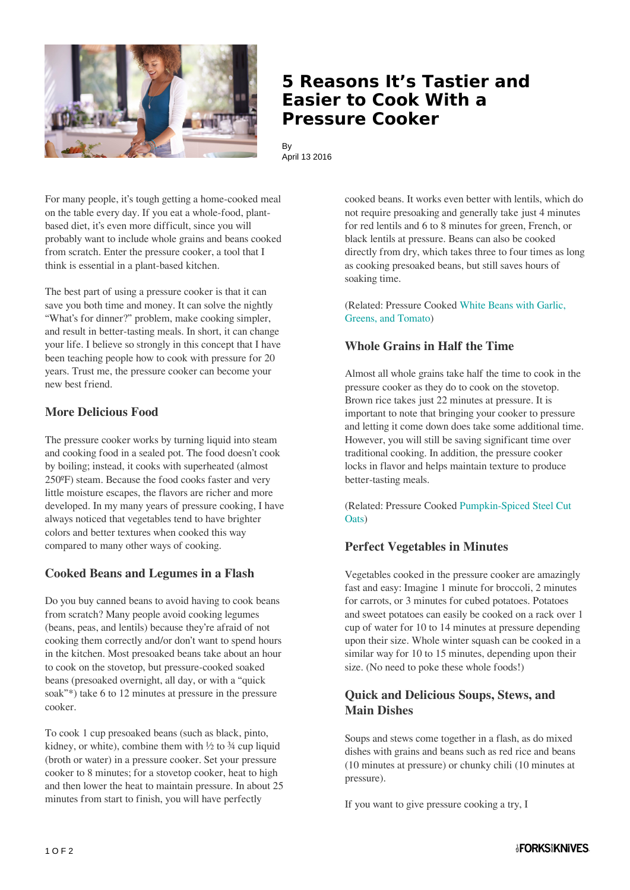

## **5 Reasons It's Tastier and Easier to Cook With a Pressure Cooker**

By April 13 2016

For many people, it's tough getting a home-cooked meal on the table every day. If you eat a whole-food, plantbased diet, it's even more difficult, since you will probably want to include whole grains and beans cooked from scratch. Enter the pressure cooker, a tool that I think is essential in a plant-based kitchen.

The best part of using a pressure cooker is that it can save you both time and money. It can solve the nightly "What's for dinner?" problem, make cooking simpler, and result in better-tasting meals. In short, it can change your life. I believe so strongly in this concept that I have been teaching people how to cook with pressure for 20 years. Trust me, the pressure cooker can become your new best friend.

#### **More Delicious Food**

The pressure cooker works by turning liquid into steam and cooking food in a sealed pot. The food doesn't cook by boiling; instead, it cooks with superheated (almost 250ºF) steam. Because the food cooks faster and very little moisture escapes, the flavors are richer and more developed. In my many years of pressure cooking, I have always noticed that vegetables tend to have brighter colors and better textures when cooked this way compared to many other ways of cooking.

## **Cooked Beans and Legumes in a Flash**

Do you buy canned beans to avoid having to cook beans from scratch? Many people avoid cooking legumes (beans, peas, and lentils) because they're afraid of not cooking them correctly and/or don't want to spend hours in the kitchen. Most presoaked beans take about an hour to cook on the stovetop, but pressure-cooked soaked beans (presoaked overnight, all day, or with a "quick soak"\*) take 6 to 12 minutes at pressure in the pressure cooker.

To cook 1 cup presoaked beans (such as black, pinto, kidney, or white), combine them with  $\frac{1}{2}$  to  $\frac{3}{4}$  cup liquid (broth or water) in a pressure cooker. Set your pressure cooker to 8 minutes; for a stovetop cooker, heat to high and then lower the heat to maintain pressure. In about 25 minutes from start to finish, you will have perfectly

cooked beans. It works even better with lentils, which do not require presoaking and generally take just 4 minutes for red lentils and 6 to 8 minutes for green, French, or black lentils at pressure. Beans can also be cooked directly from dry, which takes three to four times as long as cooking presoaked beans, but still saves hours of soaking time.

(Related: Pressure Cooked [White Beans with Garlic,](http://www.forksoverknives.com/recipes/white-beans-with-greens-garlic-and-tomato/) [Greens, and Tomato\)](http://www.forksoverknives.com/recipes/white-beans-with-greens-garlic-and-tomato/)

#### **Whole Grains in Half the Time**

Almost all whole grains take half the time to cook in the pressure cooker as they do to cook on the stovetop. Brown rice takes just 22 minutes at pressure. It is important to note that bringing your cooker to pressure and letting it come down does take some additional time. However, you will still be saving significant time over traditional cooking. In addition, the pressure cooker locks in flavor and helps maintain texture to produce better-tasting meals.

(Related: Pressure Cooked [Pumpkin-Spiced Steel Cut](http://www.theveggiequeen.com/2015/12/23/pressure-cooked-pumpkin-spice-steel-cut-oats/) [Oats](http://www.theveggiequeen.com/2015/12/23/pressure-cooked-pumpkin-spice-steel-cut-oats/))

#### **Perfect Vegetables in Minutes**

Vegetables cooked in the pressure cooker are amazingly fast and easy: Imagine 1 minute for broccoli, 2 minutes for carrots, or 3 minutes for cubed potatoes. Potatoes and sweet potatoes can easily be cooked on a rack over 1 cup of water for 10 to 14 minutes at pressure depending upon their size. Whole winter squash can be cooked in a similar way for 10 to 15 minutes, depending upon their size. (No need to poke these whole foods!)

## **Quick and Delicious Soups, Stews, and Main Dishes**

Soups and stews come together in a flash, as do mixed dishes with grains and beans such as red rice and beans (10 minutes at pressure) or chunky chili (10 minutes at pressure).

If you want to give pressure cooking a try, I